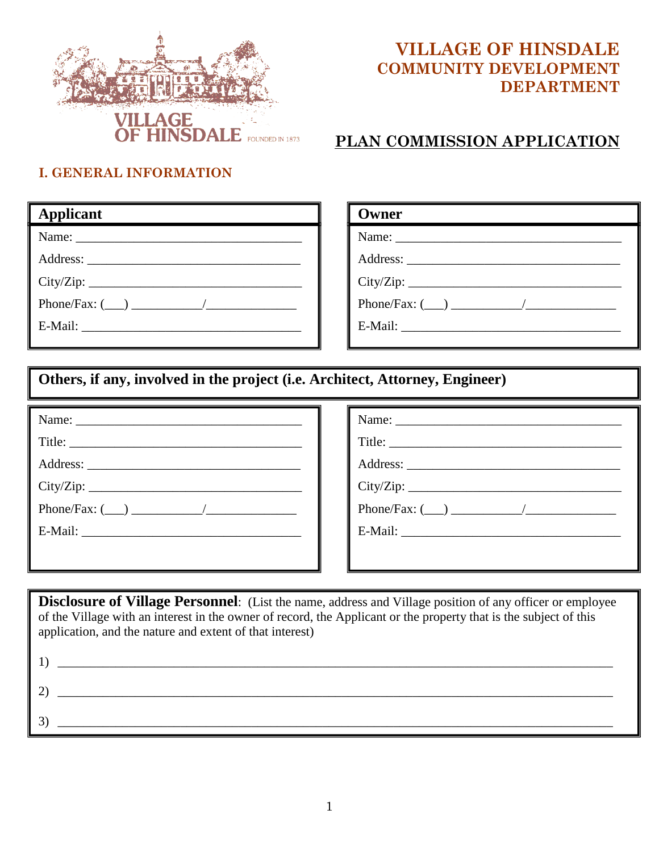

## **VILLAGE OF HINSDALE COMMUNITY DEVELOPMENT DEPARTMENT**

### **PLAN COMMISSION APPLICATION**

#### **I. GENERAL INFORMATION**

| <b>Applicant</b>    |
|---------------------|
|                     |
|                     |
| City/Zip:           |
| Phone/Fax: $(\_\_)$ |
|                     |
|                     |

| Owner |
|-------|
|       |
|       |
|       |
|       |
|       |
|       |

### **Others, if any, involved in the project (i.e. Architect, Attorney, Engineer)**

| Title:    | Title:         |
|-----------|----------------|
|           |                |
| City/Zip: | City/Zip:      |
|           | Phone/Fax: $($ |
|           |                |
|           |                |

**Disclosure of Village Personnel**: (List the name, address and Village position of any officer or employee of the Village with an interest in the owner of record, the Applicant or the property that is the subject of this application, and the nature and extent of that interest)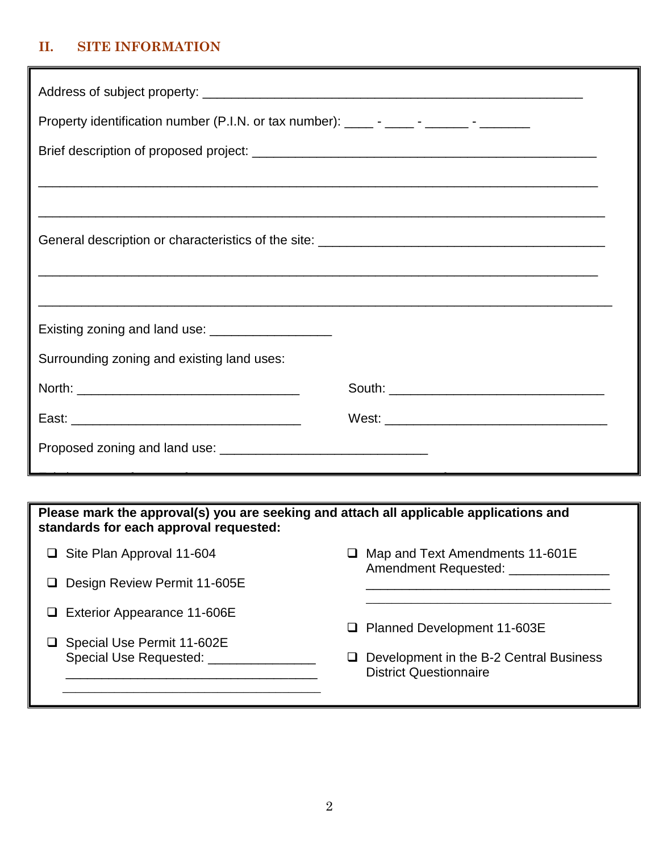#### **II. SITE INFORMATION**

| Property identification number (P.I.N. or tax number): _____ - _____ - ______ - _______ |  |  |
|-----------------------------------------------------------------------------------------|--|--|
|                                                                                         |  |  |
|                                                                                         |  |  |
|                                                                                         |  |  |
|                                                                                         |  |  |
|                                                                                         |  |  |
|                                                                                         |  |  |
| Existing zoning and land use: _______________________                                   |  |  |
| Surrounding zoning and existing land uses:                                              |  |  |
|                                                                                         |  |  |
|                                                                                         |  |  |
|                                                                                         |  |  |
|                                                                                         |  |  |
| Please mark the approval(s) you are seeking and attach all applicable applications and  |  |  |

**standards for each approval requested:**

| $\Box$ Site Plan Approval 11-604                       | Map and Text Amendments 11-601E<br>Amendment Requested: _________             |
|--------------------------------------------------------|-------------------------------------------------------------------------------|
| Design Review Permit 11-605E                           |                                                                               |
| Exterior Appearance 11-606E                            | <b>Planned Development 11-603E</b><br>⊔.                                      |
| □ Special Use Permit 11-602E<br>Special Use Requested: | Development in the B-2 Central Business<br>ப<br><b>District Questionnaire</b> |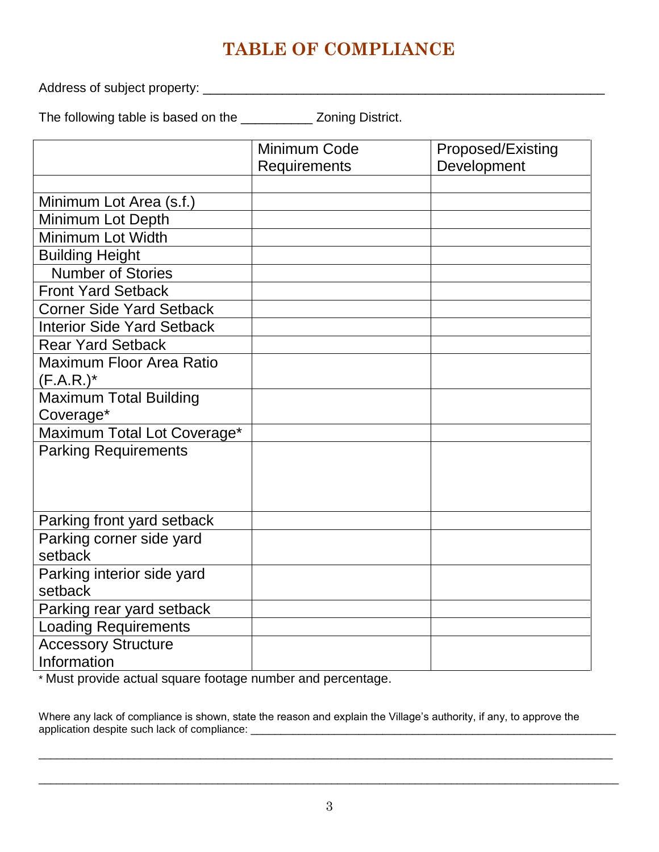# **TABLE OF COMPLIANCE**

Address of subject property: \_\_\_\_\_\_\_\_\_\_\_\_\_\_\_\_\_\_\_\_\_\_\_\_\_\_\_\_\_\_\_\_\_\_\_\_\_\_\_\_\_\_\_\_\_\_\_\_\_\_\_\_\_\_\_\_

The following table is based on the \_\_\_\_\_\_\_\_\_\_ Zoning District.

|                                   | Minimum Code        | Proposed/Existing |
|-----------------------------------|---------------------|-------------------|
|                                   | <b>Requirements</b> | Development       |
|                                   |                     |                   |
| Minimum Lot Area (s.f.)           |                     |                   |
| Minimum Lot Depth                 |                     |                   |
| Minimum Lot Width                 |                     |                   |
| <b>Building Height</b>            |                     |                   |
| <b>Number of Stories</b>          |                     |                   |
| <b>Front Yard Setback</b>         |                     |                   |
| <b>Corner Side Yard Setback</b>   |                     |                   |
| <b>Interior Side Yard Setback</b> |                     |                   |
| <b>Rear Yard Setback</b>          |                     |                   |
| <b>Maximum Floor Area Ratio</b>   |                     |                   |
| $(F.A.R.)^*$                      |                     |                   |
| <b>Maximum Total Building</b>     |                     |                   |
| Coverage*                         |                     |                   |
| Maximum Total Lot Coverage*       |                     |                   |
| <b>Parking Requirements</b>       |                     |                   |
|                                   |                     |                   |
|                                   |                     |                   |
|                                   |                     |                   |
| Parking front yard setback        |                     |                   |
| Parking corner side yard          |                     |                   |
| setback                           |                     |                   |
| Parking interior side yard        |                     |                   |
| setback                           |                     |                   |
| Parking rear yard setback         |                     |                   |
| <b>Loading Requirements</b>       |                     |                   |
| <b>Accessory Structure</b>        |                     |                   |
| Information                       |                     |                   |

\* Must provide actual square footage number and percentage.

Where any lack of compliance is shown, state the reason and explain the Village's authority, if any, to approve the application despite such lack of compliance: \_\_\_\_\_\_\_\_\_\_\_\_\_\_\_\_\_\_\_\_\_\_\_\_\_\_\_\_\_\_\_\_\_\_\_\_\_\_\_\_\_\_\_\_\_\_\_\_\_\_\_\_\_\_\_\_\_\_\_\_\_

 $\Box$ 

\_\_\_\_\_\_\_\_\_\_\_\_\_\_\_\_\_\_\_\_\_\_\_\_\_\_\_\_\_\_\_\_\_\_\_\_\_\_\_\_\_\_\_\_\_\_\_\_\_\_\_\_\_\_\_\_\_\_\_\_\_\_\_\_\_\_\_\_\_\_\_\_\_\_\_\_\_\_\_\_\_\_\_\_\_\_\_\_\_\_\_\_\_\_\_\_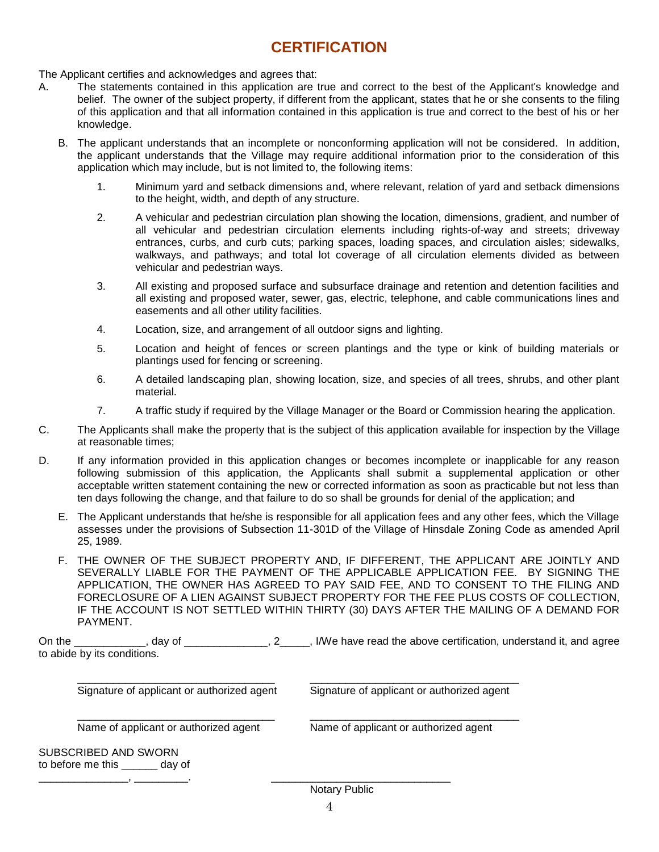### **CERTIFICATION**

The Applicant certifies and acknowledges and agrees that:

- A. The statements contained in this application are true and correct to the best of the Applicant's knowledge and belief. The owner of the subject property, if different from the applicant, states that he or she consents to the filing of this application and that all information contained in this application is true and correct to the best of his or her knowledge.
	- B. The applicant understands that an incomplete or nonconforming application will not be considered. In addition, the applicant understands that the Village may require additional information prior to the consideration of this application which may include, but is not limited to, the following items:
		- 1. Minimum yard and setback dimensions and, where relevant, relation of yard and setback dimensions to the height, width, and depth of any structure.
		- 2. A vehicular and pedestrian circulation plan showing the location, dimensions, gradient, and number of all vehicular and pedestrian circulation elements including rights-of-way and streets; driveway entrances, curbs, and curb cuts; parking spaces, loading spaces, and circulation aisles; sidewalks, walkways, and pathways; and total lot coverage of all circulation elements divided as between vehicular and pedestrian ways.
		- 3. All existing and proposed surface and subsurface drainage and retention and detention facilities and all existing and proposed water, sewer, gas, electric, telephone, and cable communications lines and easements and all other utility facilities.
		- 4. Location, size, and arrangement of all outdoor signs and lighting.
		- 5. Location and height of fences or screen plantings and the type or kink of building materials or plantings used for fencing or screening.
		- 6. A detailed landscaping plan, showing location, size, and species of all trees, shrubs, and other plant material.
		- 7. A traffic study if required by the Village Manager or the Board or Commission hearing the application.
- C. The Applicants shall make the property that is the subject of this application available for inspection by the Village at reasonable times;
- D. If any information provided in this application changes or becomes incomplete or inapplicable for any reason following submission of this application, the Applicants shall submit a supplemental application or other acceptable written statement containing the new or corrected information as soon as practicable but not less than ten days following the change, and that failure to do so shall be grounds for denial of the application; and
	- E. The Applicant understands that he/she is responsible for all application fees and any other fees, which the Village assesses under the provisions of Subsection 11-301D of the Village of Hinsdale Zoning Code as amended April 25, 1989.
	- F. THE OWNER OF THE SUBJECT PROPERTY AND, IF DIFFERENT, THE APPLICANT ARE JOINTLY AND SEVERALLY LIABLE FOR THE PAYMENT OF THE APPLICABLE APPLICATION FEE. BY SIGNING THE APPLICATION, THE OWNER HAS AGREED TO PAY SAID FEE, AND TO CONSENT TO THE FILING AND FORECLOSURE OF A LIEN AGAINST SUBJECT PROPERTY FOR THE FEE PLUS COSTS OF COLLECTION, IF THE ACCOUNT IS NOT SETTLED WITHIN THIRTY (30) DAYS AFTER THE MAILING OF A DEMAND FOR PAYMENT.

On the 2005, day of 2006, 2006, I/We have read the above certification, understand it, and agree to abide by its conditions.

| Signature of applicant or authorized agent | Signature of applicant or authorized agent |
|--------------------------------------------|--------------------------------------------|
| Name of applicant or authorized agent      | Name of applicant or authorized agent      |
| SUBSCRIBED AND SWORN                       |                                            |
| to before me this day of                   |                                            |
|                                            | $M = 1 - m$ . $M = 11 - 1$                 |

Notary Public